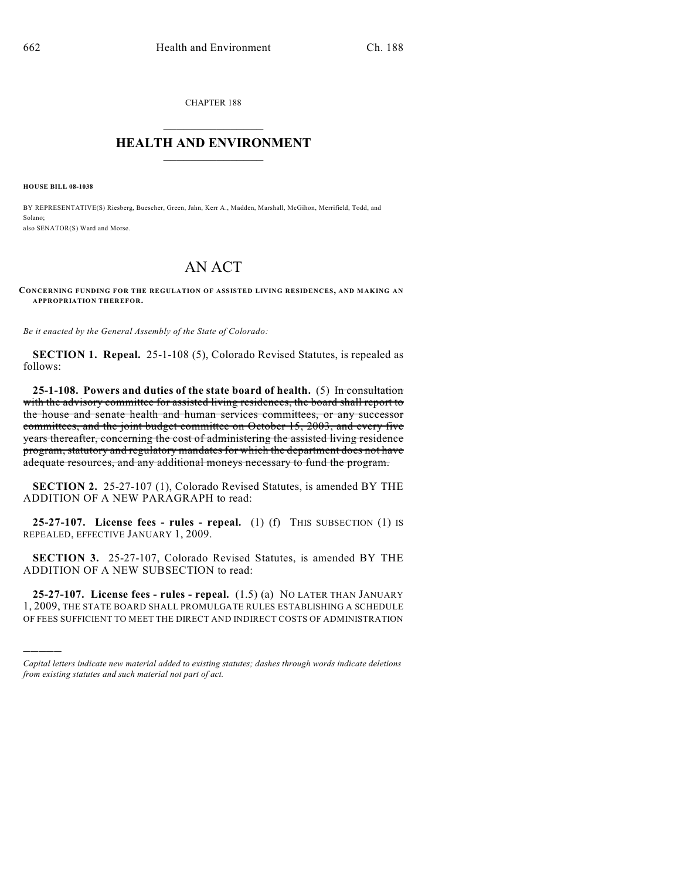CHAPTER 188

## $\overline{\phantom{a}}$  . The set of the set of the set of the set of the set of the set of the set of the set of the set of the set of the set of the set of the set of the set of the set of the set of the set of the set of the set o **HEALTH AND ENVIRONMENT**  $\_$

**HOUSE BILL 08-1038**

)))))

BY REPRESENTATIVE(S) Riesberg, Buescher, Green, Jahn, Kerr A., Madden, Marshall, McGihon, Merrifield, Todd, and Solano; also SENATOR(S) Ward and Morse.

## AN ACT

**CO NCERNING FUNDING FOR THE REGULATION OF ASSISTED LIVING RESIDENCES, AND MAKING AN APPROPRIATION THEREFOR.**

*Be it enacted by the General Assembly of the State of Colorado:*

**SECTION 1. Repeal.** 25-1-108 (5), Colorado Revised Statutes, is repealed as follows:

**25-1-108. Powers and duties of the state board of health.** (5) In consultation with the advisory committee for assisted living residences, the board shall report to the house and senate health and human services committees, or any successor committees, and the joint budget committee on October 15, 2003, and every five years thereafter, concerning the cost of administering the assisted living residence program, statutory and regulatory mandates for which the department does not have adequate resources, and any additional moneys necessary to fund the program.

**SECTION 2.** 25-27-107 (1), Colorado Revised Statutes, is amended BY THE ADDITION OF A NEW PARAGRAPH to read:

**25-27-107. License fees - rules - repeal.** (1) (f) THIS SUBSECTION (1) IS REPEALED, EFFECTIVE JANUARY 1, 2009.

**SECTION 3.** 25-27-107, Colorado Revised Statutes, is amended BY THE ADDITION OF A NEW SUBSECTION to read:

**25-27-107. License fees - rules - repeal.** (1.5) (a) NO LATER THAN JANUARY 1, 2009, THE STATE BOARD SHALL PROMULGATE RULES ESTABLISHING A SCHEDULE OF FEES SUFFICIENT TO MEET THE DIRECT AND INDIRECT COSTS OF ADMINISTRATION

*Capital letters indicate new material added to existing statutes; dashes through words indicate deletions from existing statutes and such material not part of act.*